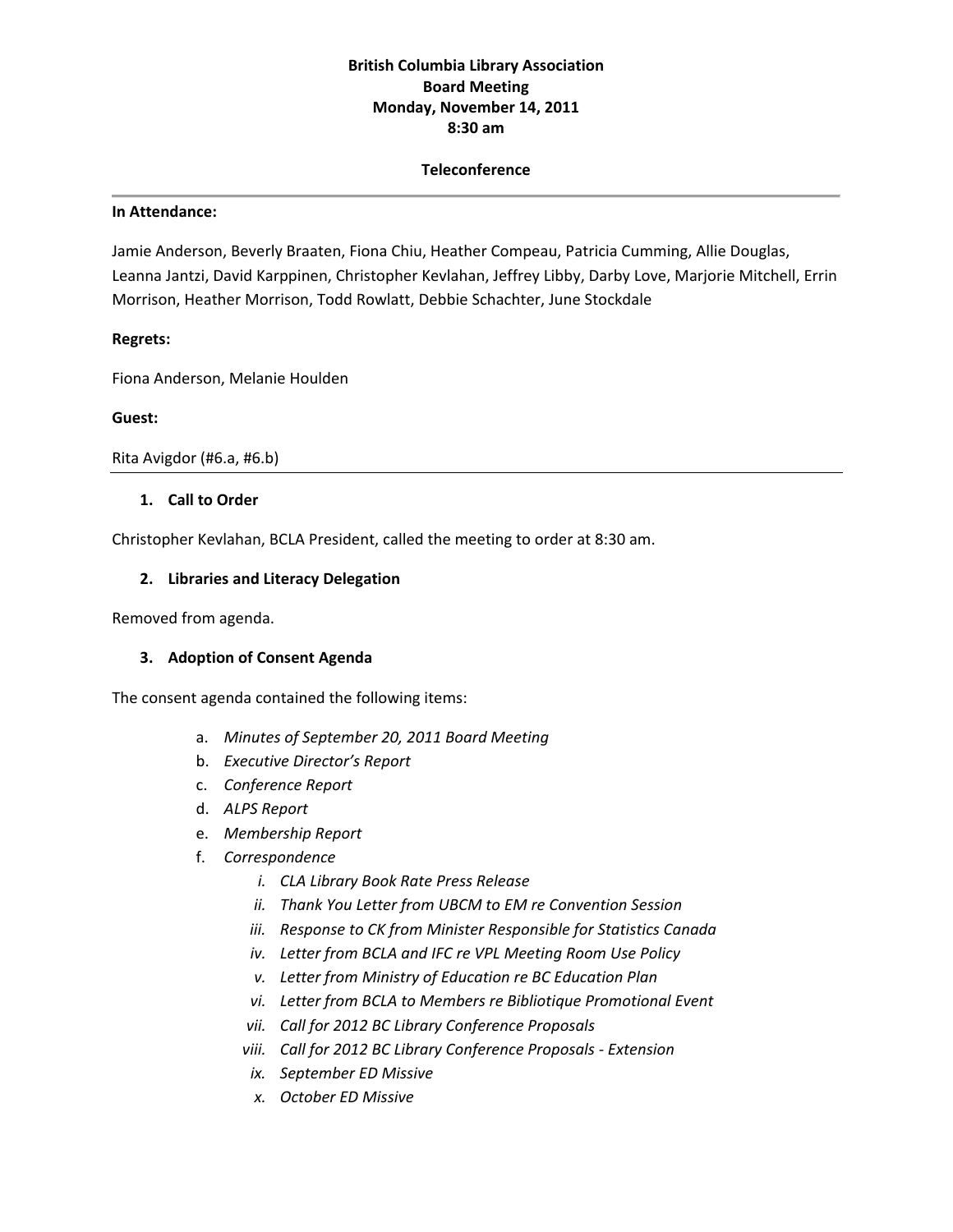# **British Columbia Library Association Board Meeting Monday, November 14, 2011 8:30 am**

#### **Teleconference**

#### **In Attendance:**

Jamie Anderson, Beverly Braaten, Fiona Chiu, Heather Compeau, Patricia Cumming, Allie Douglas, Leanna Jantzi, David Karppinen, Christopher Kevlahan, Jeffrey Libby, Darby Love, Marjorie Mitchell, Errin Morrison, Heather Morrison, Todd Rowlatt, Debbie Schachter, June Stockdale

#### **Regrets:**

Fiona Anderson, Melanie Houlden

#### **Guest:**

Rita Avigdor (#6.a, #6.b)

### **1. Call to Order**

Christopher Kevlahan, BCLA President, called the meeting to order at 8:30 am.

### **2. Libraries and Literacy Delegation**

Removed from agenda.

### **3. Adoption of Consent Agenda**

The consent agenda contained the following items:

- a. *Minutes of September 20, 2011 Board Meeting*
- b. *Executive Director's Report*
- c. *Conference Report*
- d. *ALPS Report*
- e. *Membership Report*
- f. *Correspondence*
	- *i. CLA Library Book Rate Press Release*
	- *ii. Thank You Letter from UBCM to EM re Convention Session*
	- *iii. Response to CK from Minister Responsible for Statistics Canada*
	- *iv. Letter from BCLA and IFC re VPL Meeting Room Use Policy*
	- *v. Letter from Ministry of Education re BC Education Plan*
	- *vi. Letter from BCLA to Members re Bibliotique Promotional Event*
	- *vii. Call for 2012 BC Library Conference Proposals*
	- *viii. Call for 2012 BC Library Conference Proposals ‐ Extension*
	- *ix. September ED Missive*
	- *x. October ED Missive*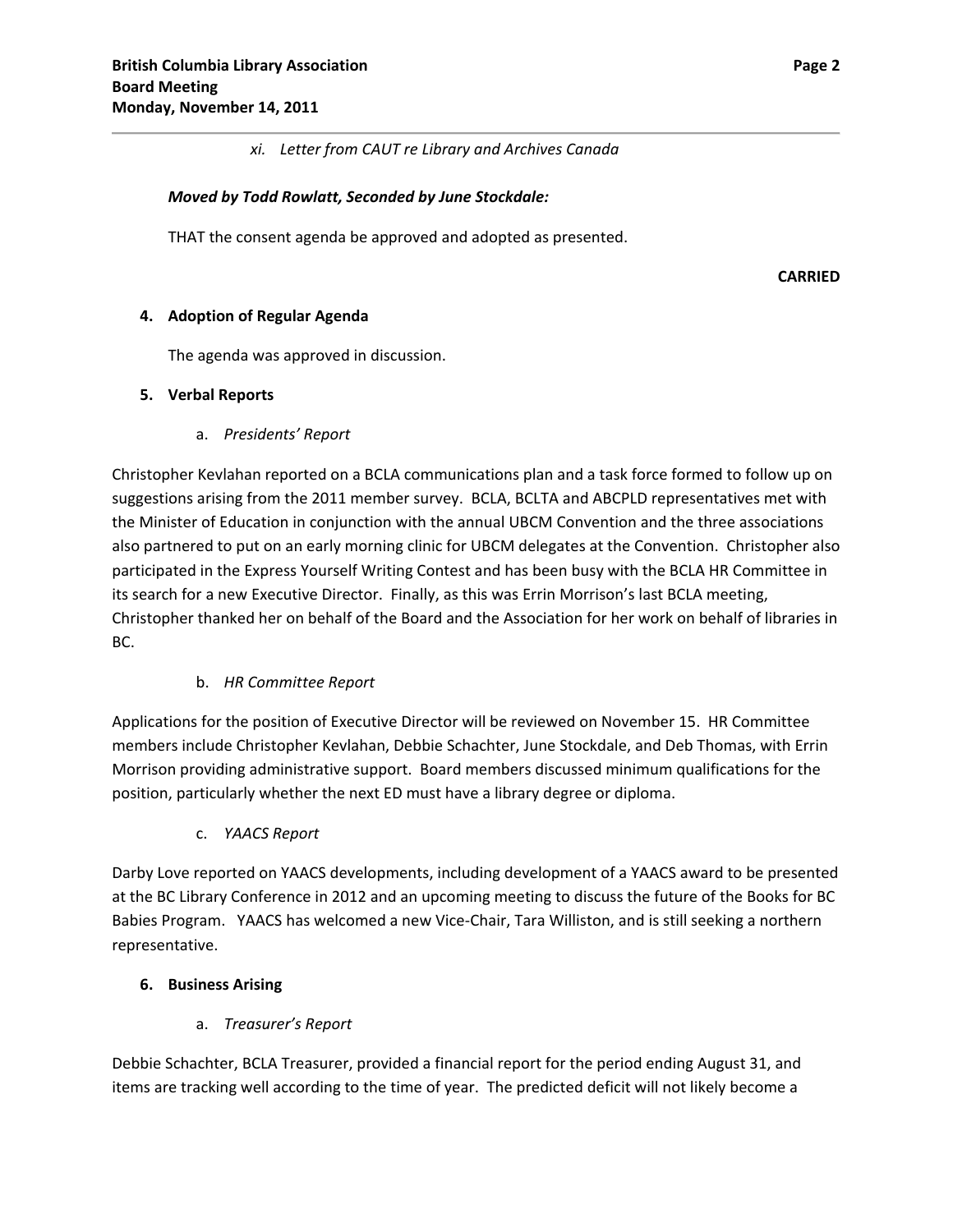### *xi. Letter from CAUT re Library and Archives Canada*

### *Moved by Todd Rowlatt, Seconded by June Stockdale:*

THAT the consent agenda be approved and adopted as presented.

**CARRIED**

### **4. Adoption of Regular Agenda**

The agenda was approved in discussion.

### **5. Verbal Reports**

a. *Presidents' Report*

Christopher Kevlahan reported on a BCLA communications plan and a task force formed to follow up on suggestions arising from the 2011 member survey. BCLA, BCLTA and ABCPLD representatives met with the Minister of Education in conjunction with the annual UBCM Convention and the three associations also partnered to put on an early morning clinic for UBCM delegates at the Convention. Christopher also participated in the Express Yourself Writing Contest and has been busy with the BCLA HR Committee in its search for a new Executive Director. Finally, as this was Errin Morrison's last BCLA meeting, Christopher thanked her on behalf of the Board and the Association for her work on behalf of libraries in BC.

### b. *HR Committee Report*

Applications for the position of Executive Director will be reviewed on November 15. HR Committee members include Christopher Kevlahan, Debbie Schachter, June Stockdale, and Deb Thomas, with Errin Morrison providing administrative support. Board members discussed minimum qualifications for the position, particularly whether the next ED must have a library degree or diploma.

c. *YAACS Report*

Darby Love reported on YAACS developments, including development of a YAACS award to be presented at the BC Library Conference in 2012 and an upcoming meeting to discuss the future of the Books for BC Babies Program. YAACS has welcomed a new Vice‐Chair, Tara Williston, and is still seeking a northern representative.

### **6. Business Arising**

### a. *Treasurer's Report*

Debbie Schachter, BCLA Treasurer, provided a financial report for the period ending August 31, and items are tracking well according to the time of year. The predicted deficit will not likely become a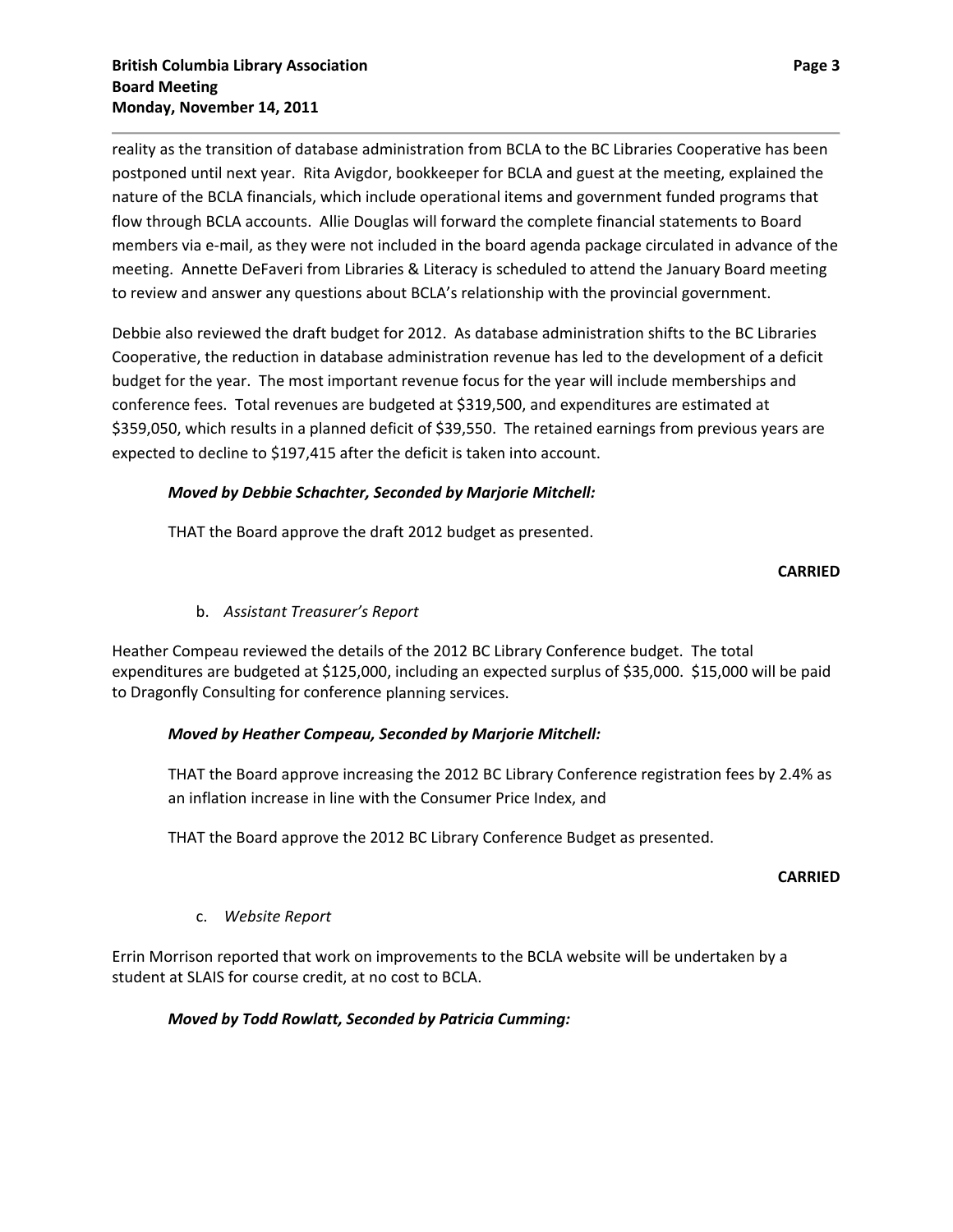reality as the transition of database administration from BCLA to the BC Libraries Cooperative has been postponed until next year. Rita Avigdor, bookkeeper for BCLA and guest at the meeting, explained the nature of the BCLA financials, which include operational items and government funded programs that flow through BCLA accounts. Allie Douglas will forward the complete financial statements to Board members via e‐mail, as they were not included in the board agenda package circulated in advance of the meeting. Annette DeFaveri from Libraries & Literacy is scheduled to attend the January Board meeting to review and answer any questions about BCLA's relationship with the provincial government.

Debbie also reviewed the draft budget for 2012. As database administration shifts to the BC Libraries Cooperative, the reduction in database administration revenue has led to the development of a deficit budget for the year. The most important revenue focus for the year will include memberships and conference fees. Total revenues are budgeted at \$319,500, and expenditures are estimated at \$359,050, which results in a planned deficit of \$39,550. The retained earnings from previous years are expected to decline to \$197,415 after the deficit is taken into account.

# *Moved by Debbie Schachter, Seconded by Marjorie Mitchell:*

THAT the Board approve the draft 2012 budget as presented.

### **CARRIED**

### b. *Assistant Treasurer's Report*

Heather Compeau reviewed the details of the 2012 BC Library Conference budget. The total expenditures are budgeted at \$125,000, including an expected surplus of \$35,000. \$15,000 will be paid to Dragonfly Consulting for conference planning services.

### *Moved by Heather Compeau, Seconded by Marjorie Mitchell:*

THAT the Board approve increasing the 2012 BC Library Conference registration fees by 2.4% as an inflation increase in line with the Consumer Price Index, and

THAT the Board approve the 2012 BC Library Conference Budget as presented.

#### **CARRIED**

### c. *Website Report*

Errin Morrison reported that work on improvements to the BCLA website will be undertaken by a student at SLAIS for course credit, at no cost to BCLA.

### *Moved by Todd Rowlatt, Seconded by Patricia Cumming:*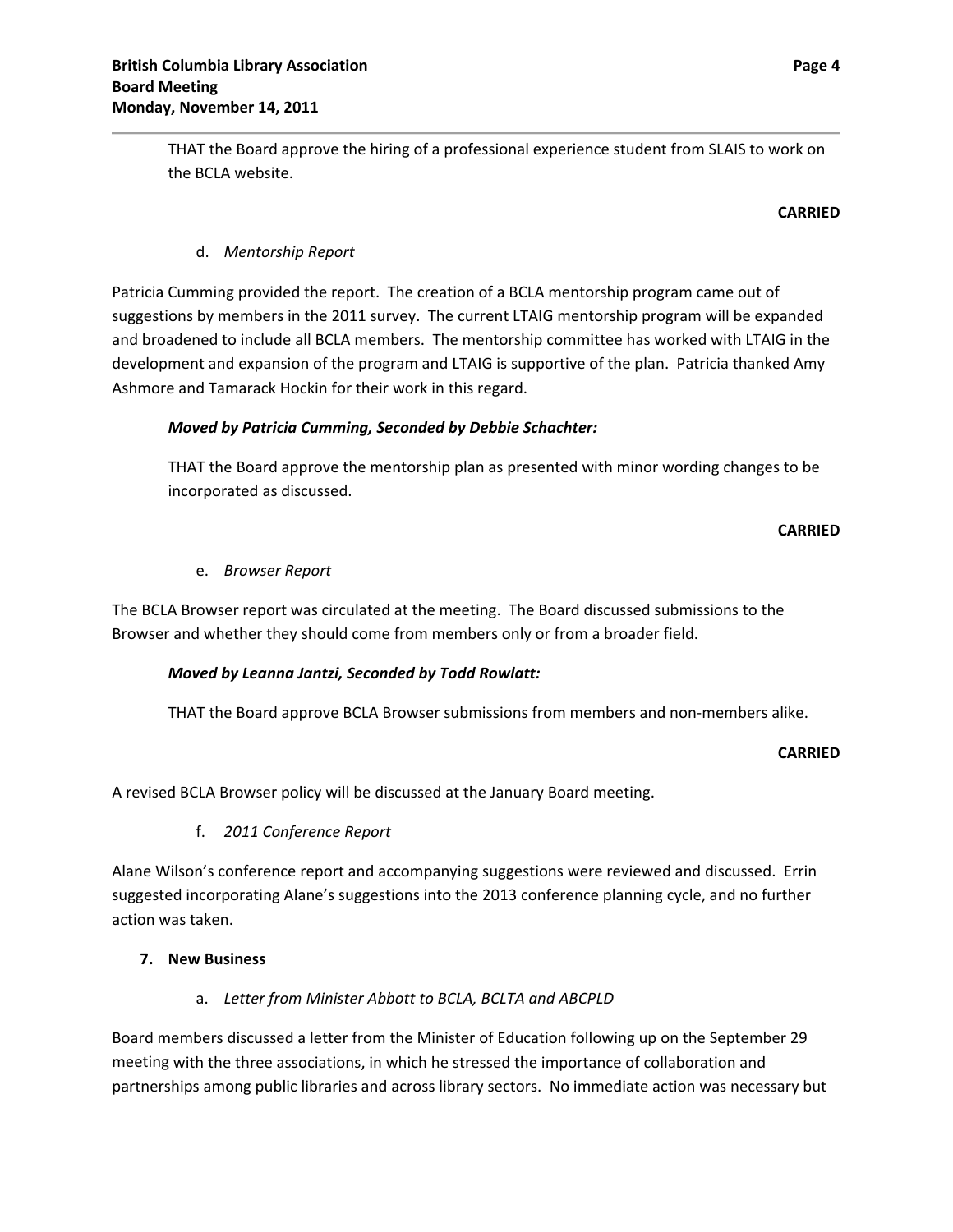THAT the Board approve the hiring of a professional experience student from SLAIS to work on the BCLA website.

### **CARRIED**

# d. *Mentorship Report*

Patricia Cumming provided the report. The creation of a BCLA mentorship program came out of suggestions by members in the 2011 survey. The current LTAIG mentorship program will be expanded and broadened to include all BCLA members. The mentorship committee has worked with LTAIG in the development and expansion of the program and LTAIG is supportive of the plan. Patricia thanked Amy Ashmore and Tamarack Hockin for their work in this regard.

### *Moved by Patricia Cumming, Seconded by Debbie Schachter:*

THAT the Board approve the mentorship plan as presented with minor wording changes to be incorporated as discussed.

### **CARRIED**

### e. *Browser Report*

The BCLA Browser report was circulated at the meeting. The Board discussed submissions to the Browser and whether they should come from members only or from a broader field.

### *Moved by Leanna Jantzi, Seconded by Todd Rowlatt:*

THAT the Board approve BCLA Browser submissions from members and non‐members alike.

### **CARRIED**

A revised BCLA Browser policy will be discussed at the January Board meeting.

### f. *2011 Conference Report*

Alane Wilson's conference report and accompanying suggestions were reviewed and discussed. Errin suggested incorporating Alane's suggestions into the 2013 conference planning cycle, and no further action was taken.

## **7. New Business**

### a. *Letter from Minister Abbott to BCLA, BCLTA and ABCPLD*

Board members discussed a letter from the Minister of Education following up on the September 29 meeting with the three associations, in which he stressed the importance of collaboration and partnerships among public libraries and across library sectors. No immediate action was necessary but